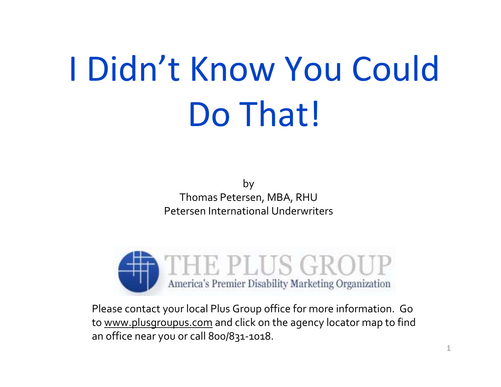#### I Didn't Know You Could Do That!

by Thomas Petersen, MBA, RHU Petersen International Underwriters



Please contact your local Plus Group office for more information. Go to <u>www.plusgroupus.com</u> and click on the agency locator map to find an office near you or call 800/831‐1018.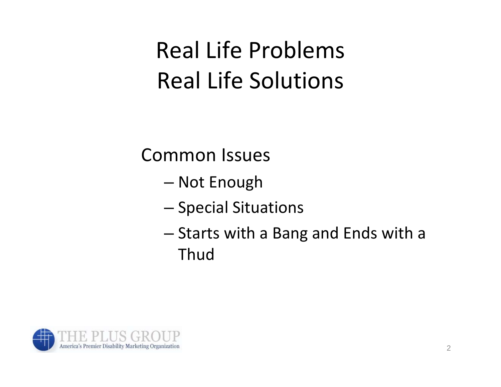### Real Life Problems Real Life Solutions

Common Issues

- and the state of the state Not Enough
- –– Special Situations
- and the state of the state  $-$  Starts with a Bang and Ends with a Thud

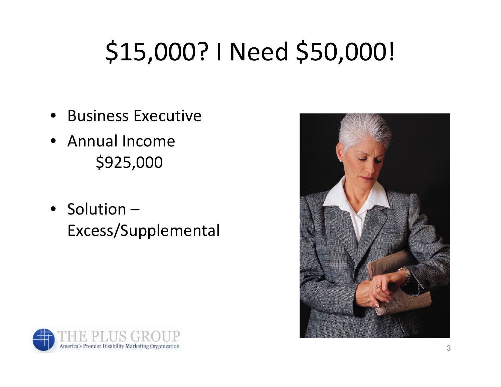# \$15,000? I Need \$50,000!

- Business Executive
- Annual Income\$925,000
- Solution Excess/Supplemental



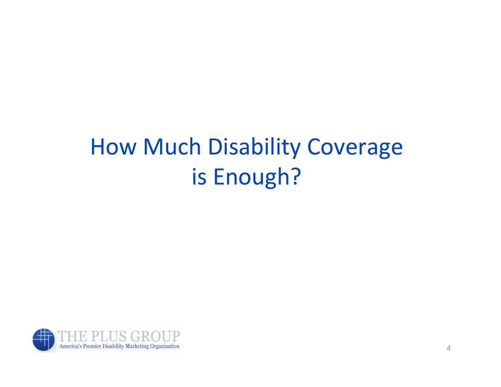#### How Much Disability Coverage is Enough?

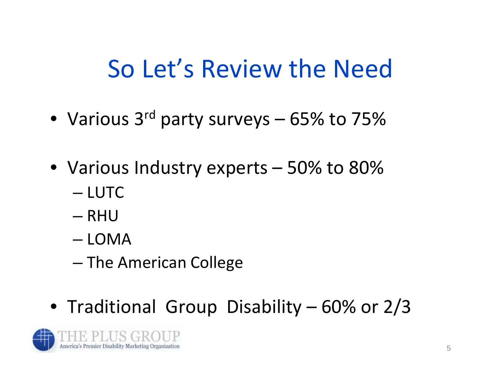### So Let's Review the Need

- Various 3<sup>rd</sup> party surveys 65% to 75%
- Various Industry experts 50% to 80%
	- LUTC
	- RHU
	- LOMA
	- and the state of the state – The American College
- Traditional Group Disability 60% or 2/3

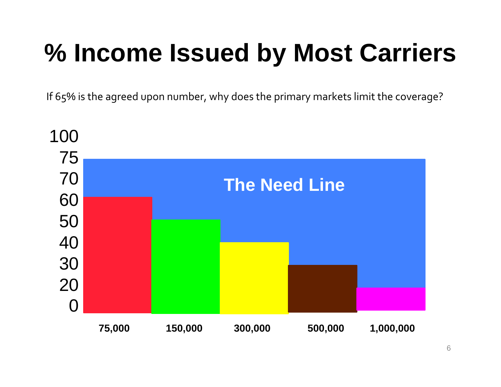## **% Income Issued by Most Carriers**

If 65% is the agreed upon number, why does the primary markets limit the coverage?

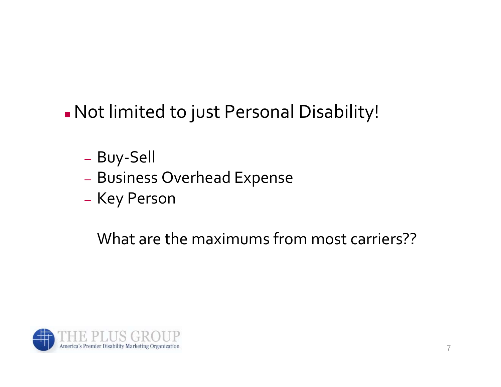Π Not limited to just Personal Disability!

- Buy‐Sell
- Business Overhead Expense
- Key Person

What are the maximums from most carriers??

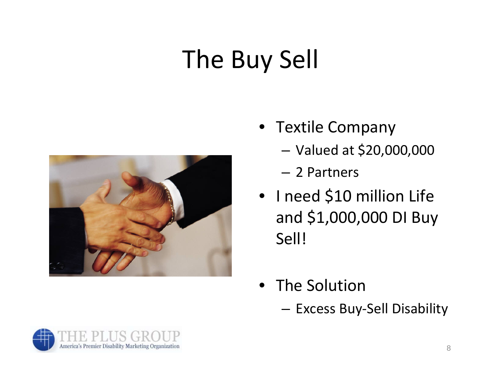# The Buy Sell



- Textile Company
	- –Valued at \$20,000,000
	- 2 Partners
- I need \$10 million Life and \$1,000,000 DI Buy Sell!
- The Solution
	- **Links of the Company** Excess Buy‐Sell Disability

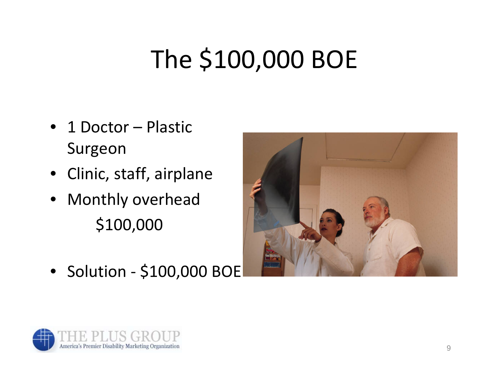# The \$100,000 BOE

- 1 Doctor Plastic Surgeon
- Clinic, staff, airplane
- Monthly overhead \$100,000



• Solution ‐ \$100,000 BOE

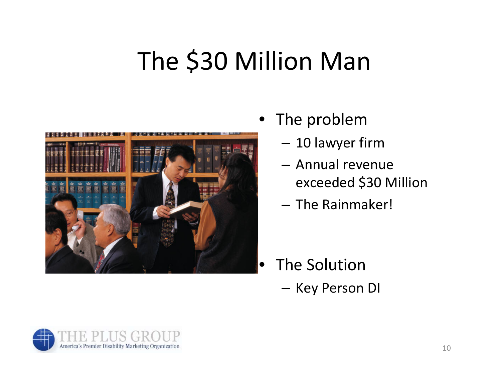## The \$30 Million Man



- The problem
	- –10 lawyer firm
	- Annual revenue exceeded \$30 Million
	- The Rainmaker!

- The Solution
	- Key Person DI

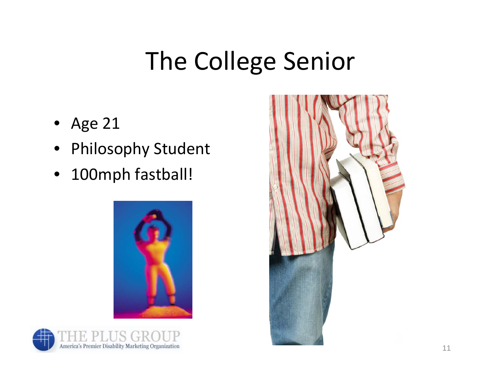## The College Senior

- $\bullet$ Age 21
- $\bullet$ Philosophy Student
- $\bullet$ 100mph fastball!





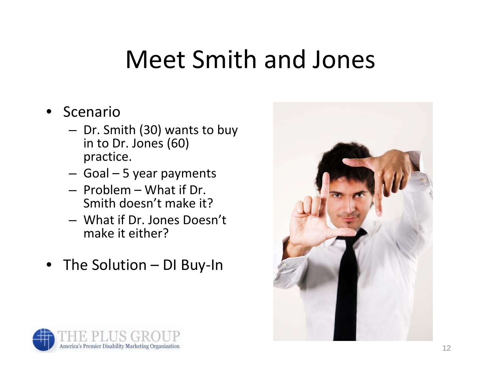## Meet Smith and Jones

- • Scenario
	- **Links of the Company**  $-$  Dr. Smith (30) wants to buy in to Dr. Jones (60) practice.
	- **Links of the Company** Goal – 5 year payments
	- Problem What if Dr. Smith doesn't make it?
	- What if Dr. Jones Doesn't make it either?
- The Solution DI Buy‐In



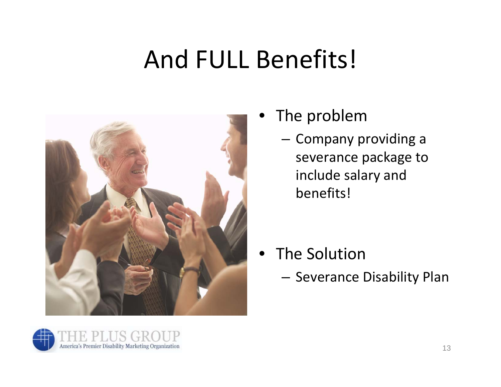## And FULL Benefits!



- • The problem
	- – $-$  Company providing a severance package to include salary and benefits!

- The Solution
	- –— Severance Disability Plan

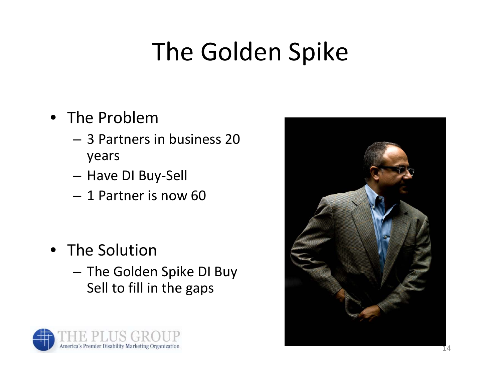## The Golden Spike

- The Problem
	- 3 Partners in business 20 years
	- **Links of the Company** Have DI Buy‐Sell
	- 1 Partner is now 60

- The Solution
	- and the state of the  $-$  The Golden Spike DI Buy Sell to fill in the gaps